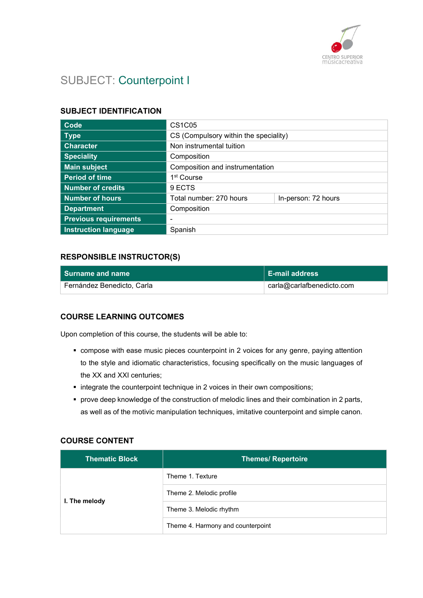

# SUBJECT: Counterpoint I

#### SUBJECT IDENTIFICATION

| Code                         | <b>CS1C05</b>                         |                     |
|------------------------------|---------------------------------------|---------------------|
| <b>Type</b>                  | CS (Compulsory within the speciality) |                     |
| <b>Character</b>             | Non instrumental tuition              |                     |
| <b>Speciality</b>            | Composition                           |                     |
| <b>Main subject</b>          | Composition and instrumentation       |                     |
| <b>Period of time</b>        | 1 <sup>st</sup> Course                |                     |
| <b>Number of credits</b>     | 9 ECTS                                |                     |
| <b>Number of hours</b>       | Total number: 270 hours               | In-person: 72 hours |
| <b>Department</b>            | Composition                           |                     |
| <b>Previous requirements</b> | $\overline{\phantom{0}}$              |                     |
| <b>Instruction language</b>  | Spanish                               |                     |

## RESPONSIBLE INSTRUCTOR(S)

| l Surname and name         | <b>E-mail address</b>     |
|----------------------------|---------------------------|
| Fernández Benedicto, Carla | carla@carlafbenedicto.com |

#### COURSE LEARNING OUTCOMES

Upon completion of this course, the students will be able to:

- compose with ease music pieces counterpoint in 2 voices for any genre, paying attention to the style and idiomatic characteristics, focusing specifically on the music languages of the XX and XXI centuries;
- integrate the counterpoint technique in 2 voices in their own compositions;
- prove deep knowledge of the construction of melodic lines and their combination in 2 parts, as well as of the motivic manipulation techniques, imitative counterpoint and simple canon.

#### COURSE CONTENT

| <b>Thematic Block</b> | <b>Themes/ Repertoire</b>         |
|-----------------------|-----------------------------------|
| I. The melody         | Theme 1. Texture                  |
|                       | Theme 2. Melodic profile          |
|                       | Theme 3. Melodic rhythm           |
|                       | Theme 4. Harmony and counterpoint |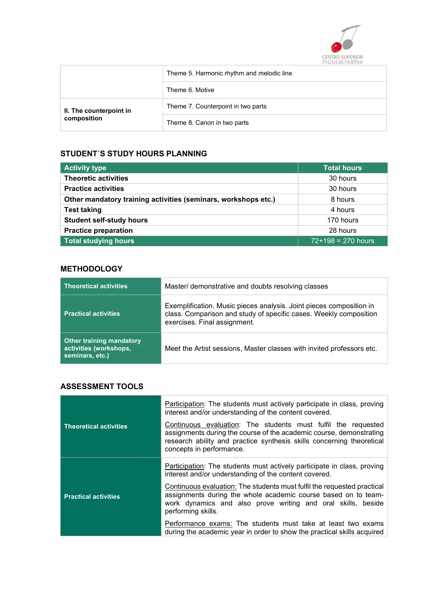

| Theme 5. Harmonic rhythm and melodic line |                                    |
|-------------------------------------------|------------------------------------|
|                                           | Theme 6. Motive                    |
| II. The counterpoint in<br>composition    | Theme 7. Counterpoint in two parts |
|                                           | Theme 8. Canon in two parts        |

# STUDENT´S STUDY HOURS PLANNING

| <b>Activity type</b>                                           | <b>Total hours</b>   |
|----------------------------------------------------------------|----------------------|
| <b>Theoretic activities</b>                                    | 30 hours             |
| <b>Practice activities</b>                                     | 30 hours             |
| Other mandatory training activities (seminars, workshops etc.) | 8 hours              |
| <b>Test taking</b>                                             | 4 hours              |
| <b>Student self-study hours</b>                                | 170 hours            |
| <b>Practice preparation</b>                                    | 28 hours             |
| <b>Total studying hours</b>                                    | $72+198 = 270$ hours |

## **METHODOLOGY**

| <b>Theoretical activities</b>                                                | Master/ demonstrative and doubts resolving classes                                                                                                                       |  |
|------------------------------------------------------------------------------|--------------------------------------------------------------------------------------------------------------------------------------------------------------------------|--|
| <b>Practical activities</b>                                                  | Exemplification. Music pieces analysis. Joint pieces composition in<br>class. Comparison and study of specific cases. Weekly composition<br>exercises. Final assignment. |  |
| <b>Other training mandatory</b><br>activities (workshops,<br>seminars, etc.) | Meet the Artist sessions, Master classes with invited professors etc.                                                                                                    |  |

## ASSESSMENT TOOLS

|                               | Participation: The students must actively participate in class, proving<br>interest and/or understanding of the content covered.                                                                                                          |
|-------------------------------|-------------------------------------------------------------------------------------------------------------------------------------------------------------------------------------------------------------------------------------------|
| <b>Theoretical activities</b> | Continuous evaluation: The students must fulfil the requested<br>assignments during the course of the academic course, demonstrating<br>research ability and practice synthesis skills concerning theoretical<br>concepts in performance. |
|                               | Participation: The students must actively participate in class, proving<br>interest and/or understanding of the content covered.                                                                                                          |
| <b>Practical activities</b>   | Continuous evaluation: The students must fulfil the requested practical<br>assignments during the whole academic course based on to team-<br>work dynamics and also prove writing and oral skills, beside<br>performing skills.           |
|                               | Performance exams: The students must take at least two exams<br>during the academic year in order to show the practical skills acquired                                                                                                   |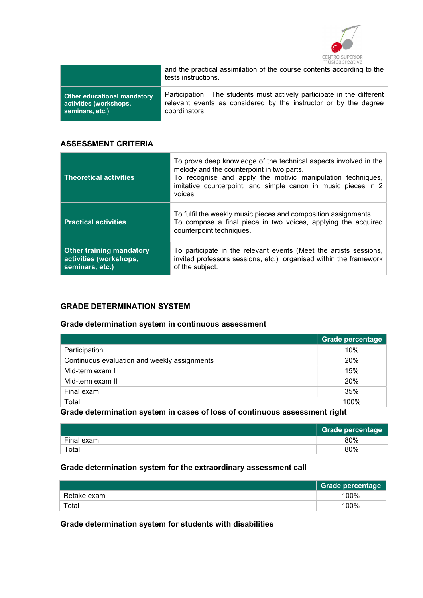

|                             | and the practical assimilation of the course contents according to the<br>tests instructions. |  |
|-----------------------------|-----------------------------------------------------------------------------------------------|--|
| Other educational mandatory | Participation: The students must actively participate in the different                        |  |
| activities (workshops,      | relevant events as considered by the instructor or by the degree                              |  |
| seminars, etc.)             | coordinators.                                                                                 |  |

#### ASSESSMENT CRITERIA

| <b>Theoretical activities</b>                                                | To prove deep knowledge of the technical aspects involved in the<br>melody and the counterpoint in two parts.<br>To recognise and apply the motivic manipulation techniques,<br>imitative counterpoint, and simple canon in music pieces in 2<br>voices. |
|------------------------------------------------------------------------------|----------------------------------------------------------------------------------------------------------------------------------------------------------------------------------------------------------------------------------------------------------|
| <b>Practical activities</b>                                                  | To fulfil the weekly music pieces and composition assignments.<br>To compose a final piece in two voices, applying the acquired<br>counterpoint techniques.                                                                                              |
| <b>Other training mandatory</b><br>activities (workshops,<br>seminars, etc.) | To participate in the relevant events (Meet the artists sessions,<br>invited professors sessions, etc.) organised within the framework<br>of the subject.                                                                                                |

#### GRADE DETERMINATION SYSTEM

## Grade determination system in continuous assessment

|                                              | <b>Grade percentage</b> |
|----------------------------------------------|-------------------------|
| Participation                                | 10%                     |
| Continuous evaluation and weekly assignments | 20%                     |
| Mid-term exam I                              | 15%                     |
| Mid-term exam II                             | 20%                     |
| Final exam                                   | 35%                     |
| Total                                        | 100%                    |

Grade determination system in cases of loss of continuous assessment right

|            | <b>Grade percentage</b> |
|------------|-------------------------|
| Final exam | 80%                     |
| Total      | 80%                     |

#### Grade determination system for the extraordinary assessment call

|             | <b>Grade percentage</b> |
|-------------|-------------------------|
| Retake exam | 100%                    |
| Total       | 100%                    |

Grade determination system for students with disabilities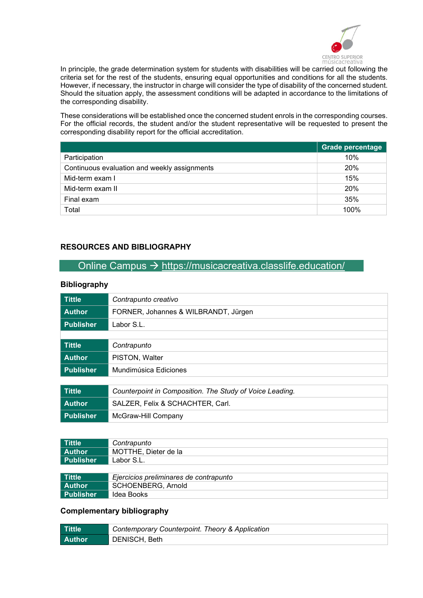

In principle, the grade determination system for students with disabilities will be carried out following the criteria set for the rest of the students, ensuring equal opportunities and conditions for all the students. However, if necessary, the instructor in charge will consider the type of disability of the concerned student. Should the situation apply, the assessment conditions will be adapted in accordance to the limitations of the corresponding disability.

These considerations will be established once the concerned student enrols in the corresponding courses. For the official records, the student and/or the student representative will be requested to present the corresponding disability report for the official accreditation.

|                                              | <b>Grade percentage</b> |
|----------------------------------------------|-------------------------|
| Participation                                | 10%                     |
| Continuous evaluation and weekly assignments | 20%                     |
| Mid-term exam I                              | 15%                     |
| Mid-term exam II                             | 20%                     |
| Final exam                                   | 35%                     |
| Total                                        | 100%                    |

## RESOURCES AND BIBLIOGRAPHY

## Online Campus  $\rightarrow$  https://musicacreativa.classlife.education/

#### **Bibliography**

| <b>Tittle</b>    | Contrapunto creativo                                     |
|------------------|----------------------------------------------------------|
| <b>Author</b>    | FORNER, Johannes & WILBRANDT, Jürgen                     |
| <b>Publisher</b> | Labor S.L.                                               |
|                  |                                                          |
| <b>Tittle</b>    | Contrapunto                                              |
| <b>Author</b>    | PISTON, Walter                                           |
| <b>Publisher</b> | Mundimúsica Ediciones                                    |
|                  |                                                          |
| <b>Tittle</b>    | Counterpoint in Composition. The Study of Voice Leading. |
| <b>Author</b>    | SALZER, Felix & SCHACHTER, Carl.                         |
| <b>Publisher</b> | McGraw-Hill Company                                      |

| Tittle           | Contrapunto                            |
|------------------|----------------------------------------|
| Author           | MOTTHE, Dieter de la                   |
| <b>Publisher</b> | Labor S.L.                             |
|                  |                                        |
| Tittle           | Ejercicios preliminares de contrapunto |
| Author           | <b>SCHOENBERG, Arnold</b>              |
| Publisher        | Idea Books                             |

#### Complementary bibliography

| ∣ Tittle      | Contemporary Counterpoint. Theory & Application |
|---------------|-------------------------------------------------|
| <b>Author</b> | DENISCH, Beth                                   |